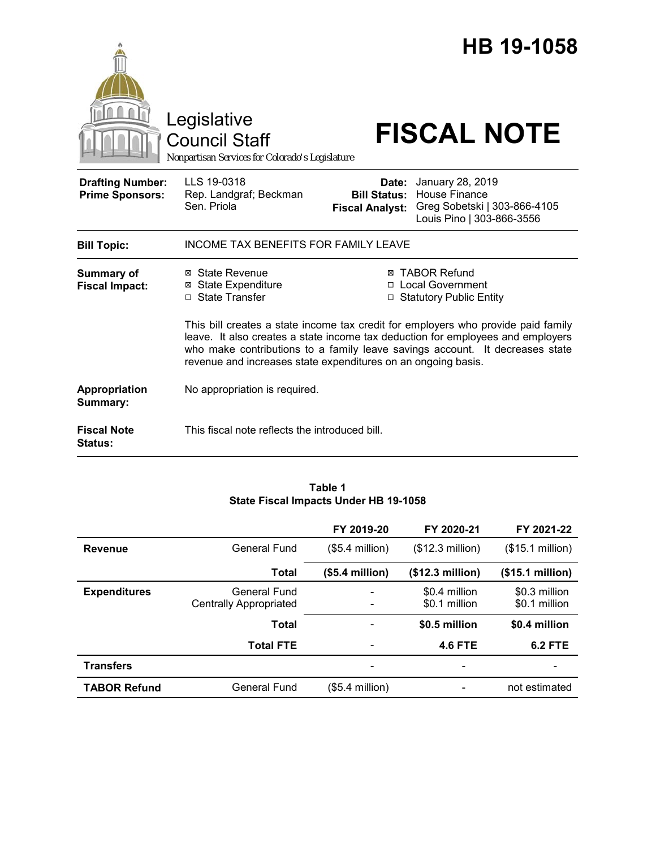|                                                   | Legislative<br><b>Council Staff</b><br>Nonpartisan Services for Colorado's Legislature                                                                                                                                                                                                                                |                                                        | HB 19-1058<br><b>FISCAL NOTE</b>                                                                      |  |
|---------------------------------------------------|-----------------------------------------------------------------------------------------------------------------------------------------------------------------------------------------------------------------------------------------------------------------------------------------------------------------------|--------------------------------------------------------|-------------------------------------------------------------------------------------------------------|--|
| <b>Drafting Number:</b><br><b>Prime Sponsors:</b> | LLS 19-0318<br>Rep. Landgraf; Beckman<br>Sen. Priola                                                                                                                                                                                                                                                                  | Date:<br><b>Bill Status:</b><br><b>Fiscal Analyst:</b> | January 28, 2019<br><b>House Finance</b><br>Greg Sobetski   303-866-4105<br>Louis Pino   303-866-3556 |  |
| <b>Bill Topic:</b>                                | <b>INCOME TAX BENEFITS FOR FAMILY LEAVE</b>                                                                                                                                                                                                                                                                           |                                                        |                                                                                                       |  |
| <b>Summary of</b><br><b>Fiscal Impact:</b>        | ⊠ State Revenue<br>⊠ State Expenditure<br>□ State Transfer                                                                                                                                                                                                                                                            |                                                        | <b>⊠ TABOR Refund</b><br>□ Local Government<br>□ Statutory Public Entity                              |  |
|                                                   | This bill creates a state income tax credit for employers who provide paid family<br>leave. It also creates a state income tax deduction for employees and employers<br>who make contributions to a family leave savings account. It decreases state<br>revenue and increases state expenditures on an ongoing basis. |                                                        |                                                                                                       |  |
| Appropriation<br>Summary:                         | No appropriation is required.                                                                                                                                                                                                                                                                                         |                                                        |                                                                                                       |  |
| <b>Fiscal Note</b><br><b>Status:</b>              | This fiscal note reflects the introduced bill.                                                                                                                                                                                                                                                                        |                                                        |                                                                                                       |  |

### **Table 1 State Fiscal Impacts Under HB 19-1058**

|                     |                                               | FY 2019-20       | FY 2020-21                     | FY 2021-22                     |
|---------------------|-----------------------------------------------|------------------|--------------------------------|--------------------------------|
| <b>Revenue</b>      | General Fund                                  | $($5.4$ million) | (\$12.3 million)               | (\$15.1 million)               |
|                     | <b>Total</b>                                  | (\$5.4 million)  | (\$12.3 million)               | (\$15.1 million)               |
| <b>Expenditures</b> | General Fund<br><b>Centrally Appropriated</b> |                  | \$0.4 million<br>\$0.1 million | \$0.3 million<br>\$0.1 million |
|                     | <b>Total</b>                                  |                  | \$0.5 million                  | \$0.4 million                  |
|                     | <b>Total FTE</b>                              |                  | <b>4.6 FTE</b>                 | <b>6.2 FTE</b>                 |
| <b>Transfers</b>    |                                               |                  |                                |                                |
| <b>TABOR Refund</b> | General Fund                                  | (\$5.4 million)  |                                | not estimated                  |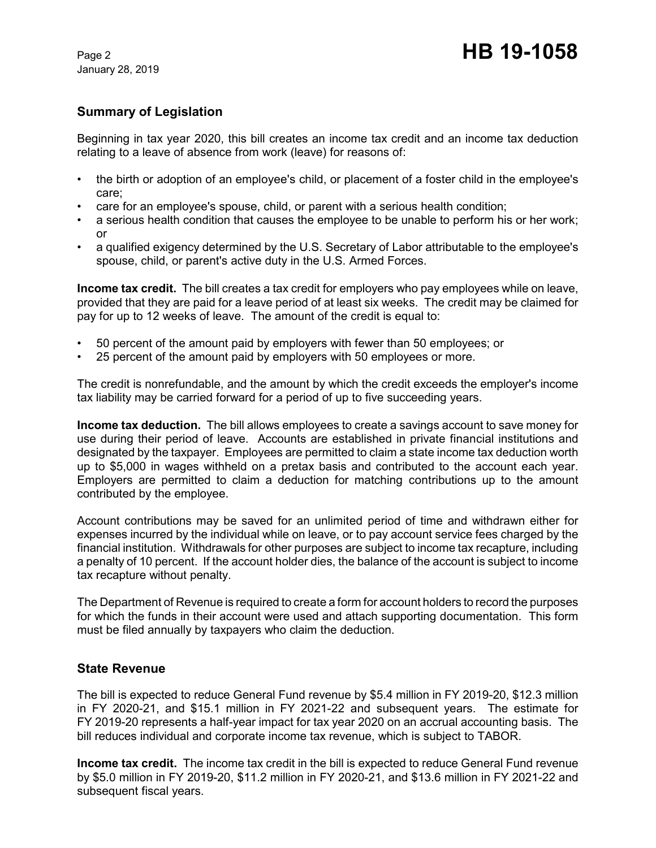January 28, 2019

# **Summary of Legislation**

Beginning in tax year 2020, this bill creates an income tax credit and an income tax deduction relating to a leave of absence from work (leave) for reasons of:

- the birth or adoption of an employee's child, or placement of a foster child in the employee's care;
- care for an employee's spouse, child, or parent with a serious health condition;
- a serious health condition that causes the employee to be unable to perform his or her work; or
- a qualified exigency determined by the U.S. Secretary of Labor attributable to the employee's spouse, child, or parent's active duty in the U.S. Armed Forces.

**Income tax credit.** The bill creates a tax credit for employers who pay employees while on leave, provided that they are paid for a leave period of at least six weeks. The credit may be claimed for pay for up to 12 weeks of leave. The amount of the credit is equal to:

- 50 percent of the amount paid by employers with fewer than 50 employees; or
- 25 percent of the amount paid by employers with 50 employees or more.

The credit is nonrefundable, and the amount by which the credit exceeds the employer's income tax liability may be carried forward for a period of up to five succeeding years.

**Income tax deduction.** The bill allows employees to create a savings account to save money for use during their period of leave. Accounts are established in private financial institutions and designated by the taxpayer. Employees are permitted to claim a state income tax deduction worth up to \$5,000 in wages withheld on a pretax basis and contributed to the account each year. Employers are permitted to claim a deduction for matching contributions up to the amount contributed by the employee.

Account contributions may be saved for an unlimited period of time and withdrawn either for expenses incurred by the individual while on leave, or to pay account service fees charged by the financial institution. Withdrawals for other purposes are subject to income tax recapture, including a penalty of 10 percent. If the account holder dies, the balance of the account is subject to income tax recapture without penalty.

The Department of Revenue is required to create a form for account holders to record the purposes for which the funds in their account were used and attach supporting documentation. This form must be filed annually by taxpayers who claim the deduction.

# **State Revenue**

The bill is expected to reduce General Fund revenue by \$5.4 million in FY 2019-20, \$12.3 million in FY 2020-21, and \$15.1 million in FY 2021-22 and subsequent years. The estimate for FY 2019-20 represents a half-year impact for tax year 2020 on an accrual accounting basis. The bill reduces individual and corporate income tax revenue, which is subject to TABOR.

**Income tax credit.** The income tax credit in the bill is expected to reduce General Fund revenue by \$5.0 million in FY 2019-20, \$11.2 million in FY 2020-21, and \$13.6 million in FY 2021-22 and subsequent fiscal years.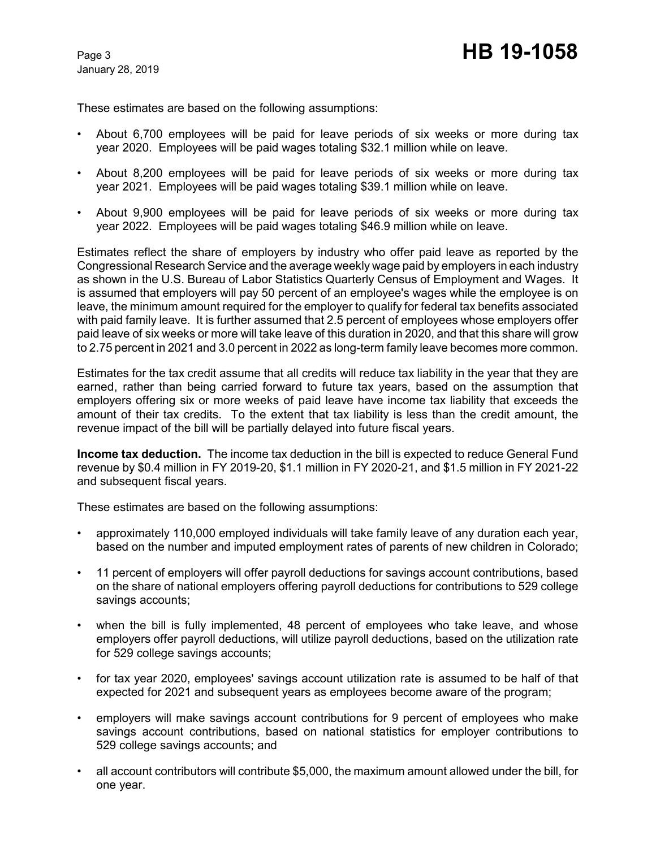These estimates are based on the following assumptions:

- About 6,700 employees will be paid for leave periods of six weeks or more during tax year 2020. Employees will be paid wages totaling \$32.1 million while on leave.
- About 8,200 employees will be paid for leave periods of six weeks or more during tax year 2021. Employees will be paid wages totaling \$39.1 million while on leave.
- About 9,900 employees will be paid for leave periods of six weeks or more during tax year 2022. Employees will be paid wages totaling \$46.9 million while on leave.

Estimates reflect the share of employers by industry who offer paid leave as reported by the Congressional Research Service and the average weekly wage paid by employers in each industry as shown in the U.S. Bureau of Labor Statistics Quarterly Census of Employment and Wages. It is assumed that employers will pay 50 percent of an employee's wages while the employee is on leave, the minimum amount required for the employer to qualify for federal tax benefits associated with paid family leave. It is further assumed that 2.5 percent of employees whose employers offer paid leave of six weeks or more will take leave of this duration in 2020, and that this share will grow to 2.75 percent in 2021 and 3.0 percent in 2022 as long-term family leave becomes more common.

Estimates for the tax credit assume that all credits will reduce tax liability in the year that they are earned, rather than being carried forward to future tax years, based on the assumption that employers offering six or more weeks of paid leave have income tax liability that exceeds the amount of their tax credits. To the extent that tax liability is less than the credit amount, the revenue impact of the bill will be partially delayed into future fiscal years.

**Income tax deduction.** The income tax deduction in the bill is expected to reduce General Fund revenue by \$0.4 million in FY 2019-20, \$1.1 million in FY 2020-21, and \$1.5 million in FY 2021-22 and subsequent fiscal years.

These estimates are based on the following assumptions:

- approximately 110,000 employed individuals will take family leave of any duration each year, based on the number and imputed employment rates of parents of new children in Colorado;
- 11 percent of employers will offer payroll deductions for savings account contributions, based on the share of national employers offering payroll deductions for contributions to 529 college savings accounts;
- when the bill is fully implemented, 48 percent of employees who take leave, and whose employers offer payroll deductions, will utilize payroll deductions, based on the utilization rate for 529 college savings accounts;
- for tax year 2020, employees' savings account utilization rate is assumed to be half of that expected for 2021 and subsequent years as employees become aware of the program;
- employers will make savings account contributions for 9 percent of employees who make savings account contributions, based on national statistics for employer contributions to 529 college savings accounts; and
- all account contributors will contribute \$5,000, the maximum amount allowed under the bill, for one year.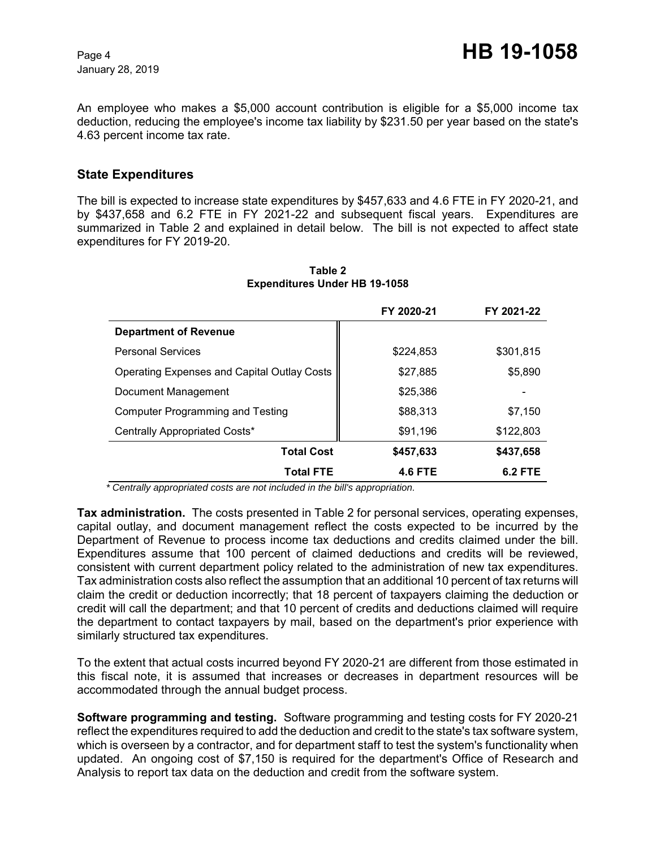January 28, 2019

An employee who makes a \$5,000 account contribution is eligible for a \$5,000 income tax deduction, reducing the employee's income tax liability by \$231.50 per year based on the state's 4.63 percent income tax rate.

### **State Expenditures**

The bill is expected to increase state expenditures by \$457,633 and 4.6 FTE in FY 2020-21, and by \$437,658 and 6.2 FTE in FY 2021-22 and subsequent fiscal years. Expenditures are summarized in Table 2 and explained in detail below. The bill is not expected to affect state expenditures for FY 2019-20.

|                                                    | FY 2020-21     | FY 2021-22 |
|----------------------------------------------------|----------------|------------|
| <b>Department of Revenue</b>                       |                |            |
| <b>Personal Services</b>                           | \$224,853      | \$301,815  |
| <b>Operating Expenses and Capital Outlay Costs</b> | \$27,885       | \$5,890    |
| Document Management                                | \$25,386       |            |
| Computer Programming and Testing                   | \$88,313       | \$7,150    |
| Centrally Appropriated Costs*                      | \$91,196       | \$122,803  |
| <b>Total Cost</b>                                  | \$457,633      | \$437,658  |
| <b>Total FTE</b>                                   | <b>4.6 FTE</b> | 6.2 FTE    |

#### **Table 2 Expenditures Under HB 19-1058**

 *\* Centrally appropriated costs are not included in the bill's appropriation.*

**Tax administration.** The costs presented in Table 2 for personal services, operating expenses, capital outlay, and document management reflect the costs expected to be incurred by the Department of Revenue to process income tax deductions and credits claimed under the bill. Expenditures assume that 100 percent of claimed deductions and credits will be reviewed, consistent with current department policy related to the administration of new tax expenditures. Tax administration costs also reflect the assumption that an additional 10 percent of tax returns will claim the credit or deduction incorrectly; that 18 percent of taxpayers claiming the deduction or credit will call the department; and that 10 percent of credits and deductions claimed will require the department to contact taxpayers by mail, based on the department's prior experience with similarly structured tax expenditures.

To the extent that actual costs incurred beyond FY 2020-21 are different from those estimated in this fiscal note, it is assumed that increases or decreases in department resources will be accommodated through the annual budget process.

**Software programming and testing.** Software programming and testing costs for FY 2020-21 reflect the expenditures required to add the deduction and credit to the state's tax software system, which is overseen by a contractor, and for department staff to test the system's functionality when updated. An ongoing cost of \$7,150 is required for the department's Office of Research and Analysis to report tax data on the deduction and credit from the software system.